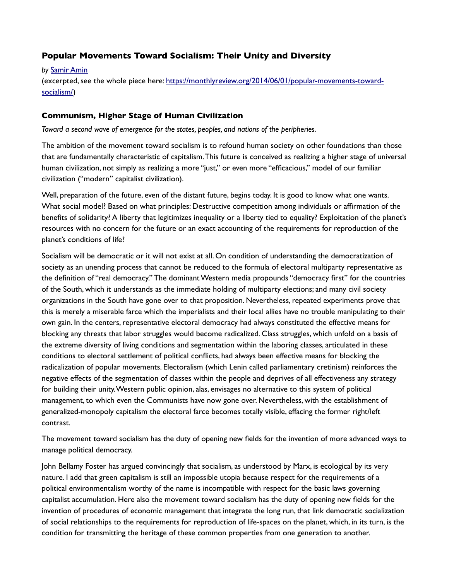# **Popular Movements Toward Socialism: Their Unity and Diversity**

## *by* [Samir Amin](https://monthlyreview.org/author/samiramin/)

(excerpted, see the whole piece here: [https://monthlyreview.org/2014/06/01/popular-movements-toward](https://monthlyreview.org/2014/06/01/popular-movements-toward-socialism/)[socialism/\)](https://monthlyreview.org/2014/06/01/popular-movements-toward-socialism/)

## **Communism, Higher Stage of Human Civilization**

*Toward a second wave of emergence for the states, peoples, and nations of the peripheries*.

The ambition of the movement toward socialism is to refound human society on other foundations than those that are fundamentally characteristic of capitalism. This future is conceived as realizing a higher stage of universal human civilization, not simply as realizing a more "just," or even more "efficacious," model of our familiar civilization ("modern" capitalist civilization).

Well, preparation of the future, even of the distant future, begins today. It is good to know what one wants. What social model? Based on what principles: Destructive competition among individuals or affrmation of the benefits of solidarity? A liberty that legitimizes inequality or a liberty tied to equality? Exploitation of the planet's resources with no concern for the future or an exact accounting of the requirements for reproduction of the planet's conditions of life?

Socialism will be democratic or it will not exist at all. On condition of understanding the democratization of society as an unending process that cannot be reduced to the formula of electoral multiparty representative as the defnition of "real democracy." The dominant Western media propounds "democracy frst" for the countries of the South, which it understands as the immediate holding of multiparty elections; and many civil society organizations in the South have gone over to that proposition. Nevertheless, repeated experiments prove that this is merely a miserable farce which the imperialists and their local allies have no trouble manipulating to their own gain. In the centers, representative electoral democracy had always constituted the effective means for blocking any threats that labor struggles would become radicalized. Class struggles, which unfold on a basis of the extreme diversity of living conditions and segmentation within the laboring classes, articulated in these conditions to electoral settlement of political conficts, had always been effective means for blocking the radicalization of popular movements. Electoralism (which Lenin called parliamentary cretinism) reinforces the negative effects of the segmentation of classes within the people and deprives of all effectiveness any strategy for building their unity. Western public opinion, alas, envisages no alternative to this system of political management, to which even the Communists have now gone over. Nevertheless, with the establishment of generalized-monopoly capitalism the electoral farce becomes totally visible, effacing the former right/left contrast.

The movement toward socialism has the duty of opening new felds for the invention of more advanced ways to manage political democracy.

John Bellamy Foster has argued convincingly that socialism, as understood by Marx, is ecological by its very nature. I add that green capitalism is still an impossible utopia because respect for the requirements of a political environmentalism worthy of the name is incompatible with respect for the basic laws governing capitalist accumulation. Here also the movement toward socialism has the duty of opening new felds for the invention of procedures of economic management that integrate the long run, that link democratic socialization of social relationships to the requirements for reproduction of life-spaces on the planet, which, in its turn, is the condition for transmitting the heritage of these common properties from one generation to another.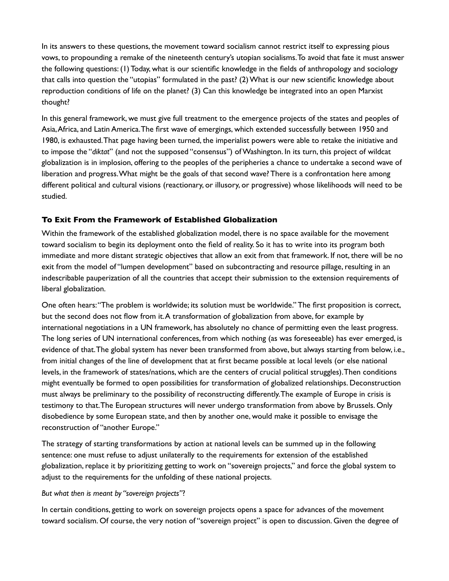In its answers to these questions, the movement toward socialism cannot restrict itself to expressing pious vows, to propounding a remake of the nineteenth century's utopian socialisms. To avoid that fate it must answer the following questions: (1) Today, what is our scientifc knowledge in the felds of anthropology and sociology that calls into question the "utopias" formulated in the past? (2) What is our new scientifc knowledge about reproduction conditions of life on the planet? (3) Can this knowledge be integrated into an open Marxist thought?

In this general framework, we must give full treatment to the emergence projects of the states and peoples of Asia, Africa, and Latin America. The first wave of emergings, which extended successfully between 1950 and 1980, is exhausted. That page having been turned, the imperialist powers were able to retake the initiative and to impose the "*diktat*" (and not the supposed "consensus") of Washington. In its turn, this project of wildcat globalization is in implosion, offering to the peoples of the peripheries a chance to undertake a second wave of liberation and progress. What might be the goals of that second wave? There is a confrontation here among different political and cultural visions (reactionary, or illusory, or progressive) whose likelihoods will need to be studied.

## **To Exit From the Framework of Established Globalization**

Within the framework of the established globalization model, there is no space available for the movement toward socialism to begin its deployment onto the feld of reality. So it has to write into its program both immediate and more distant strategic objectives that allow an exit from that framework. If not, there will be no exit from the model of "lumpen development" based on subcontracting and resource pillage, resulting in an indescribable pauperization of all the countries that accept their submission to the extension requirements of liberal globalization.

One often hears: "The problem is worldwide; its solution must be worldwide." The frst proposition is correct, but the second does not flow from it. A transformation of globalization from above, for example by international negotiations in a UN framework, has absolutely no chance of permitting even the least progress. The long series of UN international conferences, from which nothing (as was foreseeable) has ever emerged, is evidence of that. The global system has never been transformed from above, but always starting from below, i.e., from initial changes of the line of development that at frst became possible at local levels (or else national levels, in the framework of states/nations, which are the centers of crucial political struggles). Then conditions might eventually be formed to open possibilities for transformation of globalized relationships. Deconstruction must always be preliminary to the possibility of reconstructing differently. The example of Europe in crisis is testimony to that. The European structures will never undergo transformation from above by Brussels. Only disobedience by some European state, and then by another one, would make it possible to envisage the reconstruction of "another Europe."

The strategy of starting transformations by action at national levels can be summed up in the following sentence: one must refuse to adjust unilaterally to the requirements for extension of the established globalization, replace it by prioritizing getting to work on "sovereign projects," and force the global system to adjust to the requirements for the unfolding of these national projects.

## *But what then is meant by "sovereign projects"*?

In certain conditions, getting to work on sovereign projects opens a space for advances of the movement toward socialism. Of course, the very notion of "sovereign project" is open to discussion. Given the degree of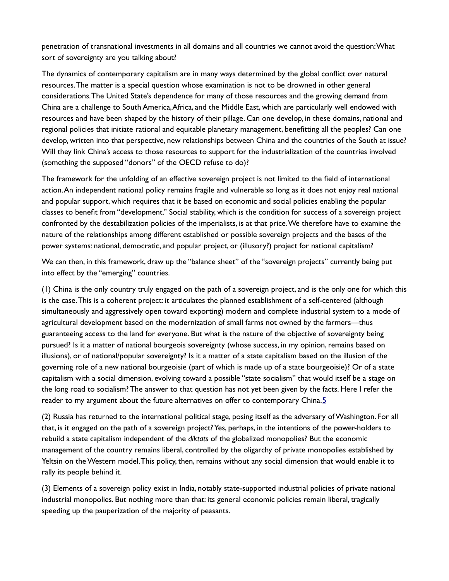penetration of transnational investments in all domains and all countries we cannot avoid the question: What sort of sovereignty are you talking about?

The dynamics of contemporary capitalism are in many ways determined by the global confict over natural resources. The matter is a special question whose examination is not to be drowned in other general considerations. The United State's dependence for many of those resources and the growing demand from China are a challenge to South America, Africa, and the Middle East, which are particularly well endowed with resources and have been shaped by the history of their pillage. Can one develop, in these domains, national and regional policies that initiate rational and equitable planetary management, beneftting all the peoples? Can one develop, written into that perspective, new relationships between China and the countries of the South at issue? Will they link China's access to those resources to support for the industrialization of the countries involved (something the supposed "donors" of the OECD refuse to do)?

The framework for the unfolding of an effective sovereign project is not limited to the feld of international action. An independent national policy remains fragile and vulnerable so long as it does not enjoy real national and popular support, which requires that it be based on economic and social policies enabling the popular classes to beneft from "development." Social stability, which is the condition for success of a sovereign project confronted by the destabilization policies of the imperialists, is at that price. We therefore have to examine the nature of the relationships among different established or possible sovereign projects and the bases of the power systems: national, democratic, and popular project, or (illusory?) project for national capitalism?

We can then, in this framework, draw up the "balance sheet" of the "sovereign projects" currently being put into effect by the "emerging" countries.

(1) China is the only country truly engaged on the path of a sovereign project, and is the only one for which this is the case. This is a coherent project: it articulates the planned establishment of a self-centered (although simultaneously and aggressively open toward exporting) modern and complete industrial system to a mode of agricultural development based on the modernization of small farms not owned by the farmers—thus guaranteeing access to the land for everyone. But what is the nature of the objective of sovereignty being pursued? Is it a matter of national bourgeois sovereignty (whose success, in my opinion, remains based on illusions), or of national/popular sovereignty? Is it a matter of a state capitalism based on the illusion of the governing role of a new national bourgeoisie (part of which is made up of a state bourgeoisie)? Or of a state capitalism with a social dimension, evolving toward a possible "state socialism" that would itself be a stage on the long road to socialism? The answer to that question has not yet been given by the facts. Here I refer the reader to my argument about the future alternatives on offer to contemporary China.<sup>5</sup>

(2) Russia has returned to the international political stage, posing itself as the adversary of Washington. For all that, is it engaged on the path of a sovereign project? Yes, perhaps, in the intentions of the power-holders to rebuild a state capitalism independent of the *diktats* of the globalized monopolies? But the economic management of the country remains liberal, controlled by the oligarchy of private monopolies established by Yeltsin on the Western model. This policy, then, remains without any social dimension that would enable it to rally its people behind it.

(3) Elements of a sovereign policy exist in India, notably state-supported industrial policies of private national industrial monopolies. But nothing more than that: its general economic policies remain liberal, tragically speeding up the pauperization of the majority of peasants.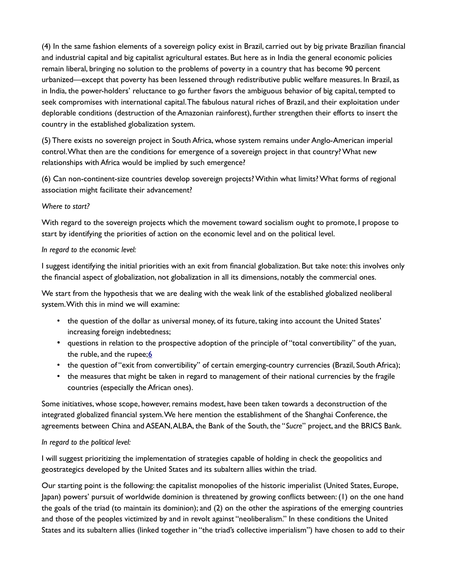(4) In the same fashion elements of a sovereign policy exist in Brazil, carried out by big private Brazilian fnancial and industrial capital and big capitalist agricultural estates. But here as in India the general economic policies remain liberal, bringing no solution to the problems of poverty in a country that has become 90 percent urbanized—except that poverty has been lessened through redistributive public welfare measures. In Brazil, as in India, the power-holders' reluctance to go further favors the ambiguous behavior of big capital, tempted to seek compromises with international capital. The fabulous natural riches of Brazil, and their exploitation under deplorable conditions (destruction of the Amazonian rainforest), further strengthen their efforts to insert the country in the established globalization system.

(5) There exists no sovereign project in South Africa, whose system remains under Anglo-American imperial control. What then are the conditions for emergence of a sovereign project in that country? What new relationships with Africa would be implied by such emergence?

(6) Can non-continent-size countries develop sovereign projects? Within what limits? What forms of regional association might facilitate their advancement?

## *Where to start?*

With regard to the sovereign projects which the movement toward socialism ought to promote, I propose to start by identifying the priorities of action on the economic level and on the political level.

## *In regard to the economic level:*

I suggest identifying the initial priorities with an exit from fnancial globalization. But take note: this involves only the fnancial aspect of globalization, not globalization in all its dimensions, notably the commercial ones.

We start from the hypothesis that we are dealing with the weak link of the established globalized neoliberal system. With this in mind we will examine:

- the question of the dollar as universal money, of its future, taking into account the United States' increasing foreign indebtedness;
- questions in relation to the prospective adoption of the principle of "total convertibility" of the yuan, the ruble, and the rupee; $6$
- the question of "exit from convertibility" of certain emerging-country currencies (Brazil, South Africa);
- the measures that might be taken in regard to management of their national currencies by the fragile countries (especially the African ones).

Some initiatives, whose scope, however, remains modest, have been taken towards a deconstruction of the integrated globalized fnancial system. We here mention the establishment of the Shanghai Conference, the agreements between China and ASEAN, ALBA, the Bank of the South, the "Sucre" project, and the BRICS Bank.

## *In regard to the political level:*

I will suggest prioritizing the implementation of strategies capable of holding in check the geopolitics and geostrategics developed by the United States and its subaltern allies within the triad.

Our starting point is the following: the capitalist monopolies of the historic imperialist (United States, Europe, Japan) powers' pursuit of worldwide dominion is threatened by growing conficts between: (1) on the one hand the goals of the triad (to maintain its dominion); and (2) on the other the aspirations of the emerging countries and those of the peoples victimized by and in revolt against "neoliberalism." In these conditions the United States and its subaltern allies (linked together in "the triad's collective imperialism") have chosen to add to their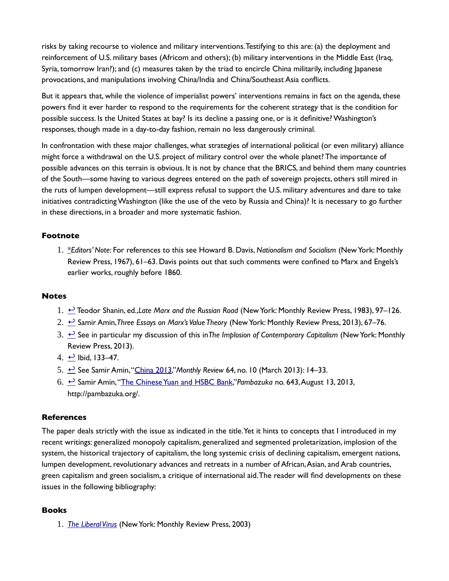risks by taking recourse to violence and military interventions. Testifying to this are: (a) the deployment and reinforcement of U.S. military bases (Africom and others); (b) military interventions in the Middle East (Iraq, Syria, tomorrow Iran?); and (c) measures taken by the triad to encircle China militarily, including Japanese provocations, and manipulations involving China/India and China/Southeast Asia conficts.

But it appears that, while the violence of imperialist powers' interventions remains in fact on the agenda, these powers fnd it ever harder to respond to the requirements for the coherent strategy that is the condition for possible success. Is the United States at bay? Is its decline a passing one, or is it defnitive? Washington's responses, though made in a day-to-day fashion, remain no less dangerously criminal.

In confrontation with these major challenges, what strategies of international political (or even military) alliance might force a withdrawal on the U.S. project of military control over the whole planet? The importance of possible advances on this terrain is obvious. It is not by chance that the BRICS, and behind them many countries of the South—some having to various degrees entered on the path of sovereign projects, others still mired in the ruts of lumpen development—still express refusal to support the U.S. military adventures and dare to take initiatives contradicting Washington (like the use of the veto by Russia and China)? It is necessary to go further in these directions, in a broader and more systematic fashion.

## **Footnote**

1. [\\*](https://monthlyreview.org/2014/06/01/popular-movements-toward-socialism/#footnote-829-1-backlink)*Editors' Note*: For references to this see Howard B. Davis, *Nationalism and Socialism* (New York: Monthly Review Press, 1967), 61–63. Davis points out that such comments were confined to Marx and Engels's earlier works, roughly before 1860.

#### **Notes**

- 1. [↩](https://monthlyreview.org/2014/06/01/popular-movements-toward-socialism/#fn1) Teodor Shanin, ed.,*Late Marx and the Russian Road* (New York: Monthly Review Press, 1983), 97–126.
- 2. [↩](https://monthlyreview.org/2014/06/01/popular-movements-toward-socialism/#fn2) Samir Amin,*Three Essays on Marx's Value Theory* (New York: Monthly Review Press, 2013), 67–76.
- 3. [↩](https://monthlyreview.org/2014/06/01/popular-movements-toward-socialism/#fn3) See in particular my discussion of this in*The Implosion of Contemporary Capitalism* (New York: Monthly Review Press, 2013).
- 4.  $\leftrightarrow$  Ibid, 133–47.
- 5. [↩](https://monthlyreview.org/2014/06/01/popular-movements-toward-socialism/#fn5) See Samir Amin, ["China 2013,](https://monthlyreview.org/2013/03/01/china-2013/)"*Monthly Review* 64, no. 10 (March 2013): 14–33.
- 6. [↩](https://monthlyreview.org/2014/06/01/popular-movements-toward-socialism/#fn6) Samir Amin, ["The Chinese Yuan and HSBC Bank,](http://www.pambazuka.net/en/category.php/features/88632)"*Pambazuka* no. 643, August 13, 2013, http://pambazuka.org/.

#### **References**

The paper deals strictly with the issue as indicated in the title. Yet it hints to concepts that I introduced in my recent writings: generalized monopoly capitalism, generalized and segmented proletarization, implosion of the system, the historical trajectory of capitalism, the long systemic crisis of declining capitalism, emergent nations, lumpen development, revolutionary advances and retreats in a number of African, Asian, and Arab countries, green capitalism and green socialism, a critique of international aid. The reader will fnd developments on these issues in the following bibliography:

#### **Books**

1. *[The Liberal Virus](https://monthlyreview.org/product/liberal_virus/)* (New York: Monthly Review Press, 2003)